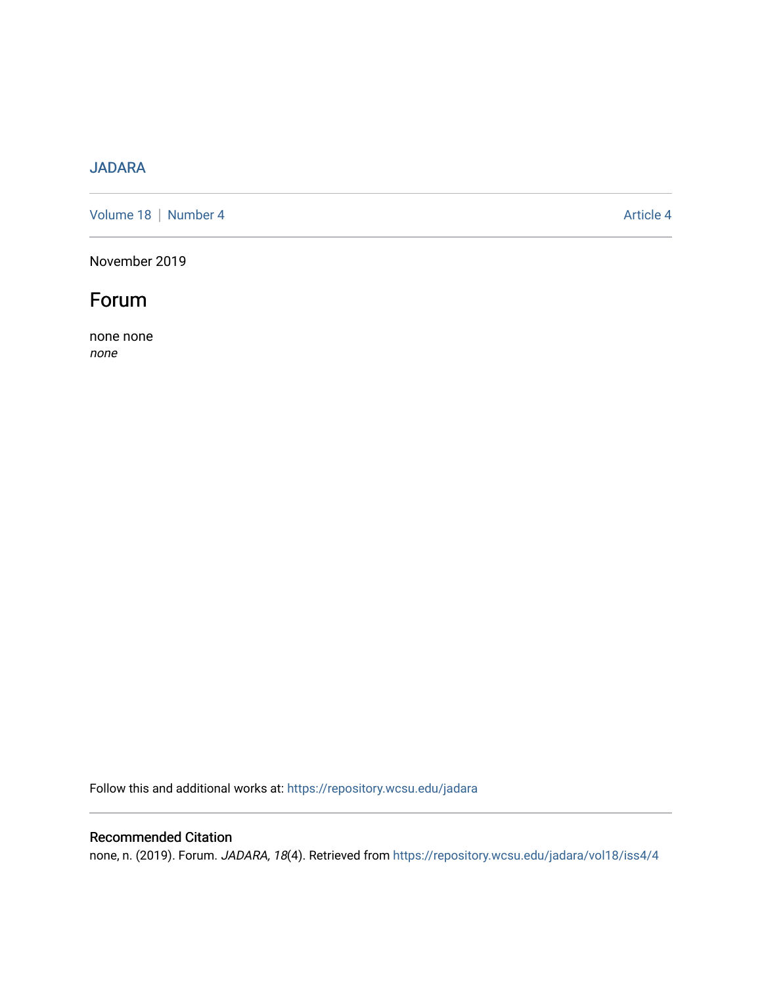## [JADARA](https://repository.wcsu.edu/jadara)

[Volume 18](https://repository.wcsu.edu/jadara/vol18) | [Number 4](https://repository.wcsu.edu/jadara/vol18/iss4) Article 4

November 2019



none none none

Follow this and additional works at: [https://repository.wcsu.edu/jadara](https://repository.wcsu.edu/jadara?utm_source=repository.wcsu.edu%2Fjadara%2Fvol18%2Fiss4%2F4&utm_medium=PDF&utm_campaign=PDFCoverPages)

### Recommended Citation

none, n. (2019). Forum. JADARA, 18(4). Retrieved from [https://repository.wcsu.edu/jadara/vol18/iss4/4](https://repository.wcsu.edu/jadara/vol18/iss4/4?utm_source=repository.wcsu.edu%2Fjadara%2Fvol18%2Fiss4%2F4&utm_medium=PDF&utm_campaign=PDFCoverPages)